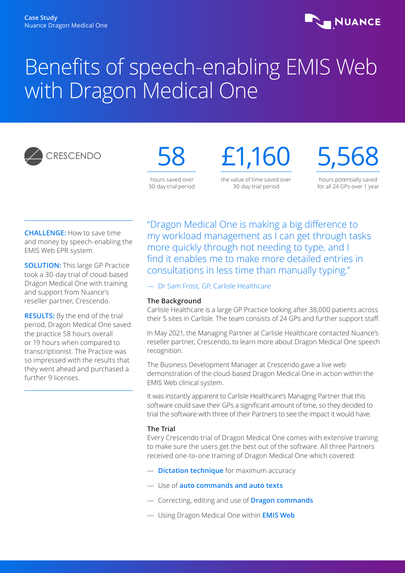

# Benefits of speech-enabling EMIS Web with Dragon Medical One





£1,160 the value of time saved over

30-day trial period

5,568

hours potentially saved for all 24 GPs over 1 year

**CHALLENGE:** How to save time and money by speech-enabling the EMIS Web EPR system.

**SOLUTION:** This large GP Practice took a 30-day trial of cloud-based Dragon Medical One with training and support from Nuance's reseller partner, Crescendo.

**RESULTS:** By the end of the trial period, Dragon Medical One saved the practice 58 hours overall or 19 hours when compared to transcriptionist. The Practice was so impressed with the results that they went ahead and purchased a further 9 licenses.

"Dragon Medical One is making a big difference to my workload management as I can get through tasks more quickly through not needing to type, and I find it enables me to make more detailed entries in consultations in less time than manually typing."

— Dr Sam Frost, GP, Carlisle Healthcare

### **The Background**

Carlisle Healthcare is a large GP Practice looking after 38,000 patients across their 5 sites in Carlisle. The team consists of 24 GPs and further support staff.

In May 2021, the Managing Partner at Carlisle Healthcare contacted Nuance's reseller partner, Crescendo, to learn more about Dragon Medical One speech recognition.

The Business Development Manager at Crescendo gave a live web demonstration of the cloud-based Dragon Medical One in action within the EMIS Web clinical system.

It was instantly apparent to Carlisle Healthcare's Managing Partner that this software could save their GPs a significant amount of time, so they decided to trial the software with three of their Partners to see the impact it would have.

## **The Trial**

Every Crescendo trial of Dragon Medical One comes with extensive training to make sure the users get the best out of the software. All three Partners received one-to-one training of Dragon Medical One which covered:

- **Dictation technique** for maximum accuracy
- Use of **auto commands and auto texts**
- Correcting, editing and use of **Dragon commands**
- Using Dragon Medical One within **EMIS Web**